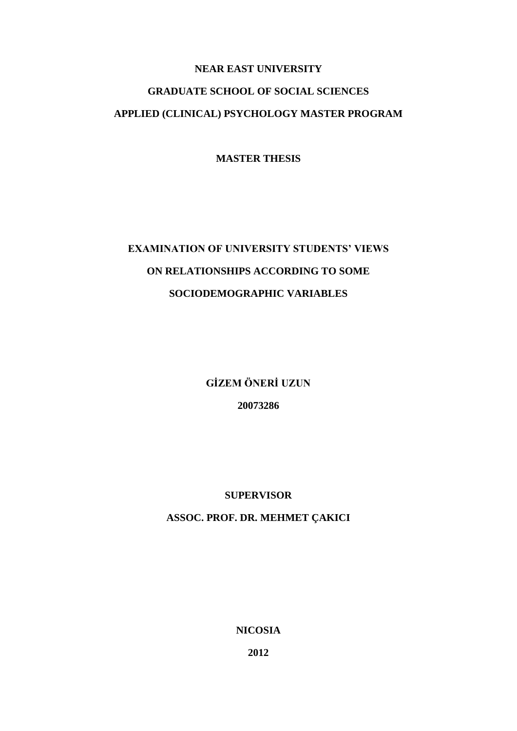## **NEAR EAST UNIVERSITY GRADUATE SCHOOL OF SOCIAL SCIENCES APPLIED (CLINICAL) PSYCHOLOGY MASTER PROGRAM**

**MASTER THESIS**

# **EXAMINATION OF UNIVERSITY STUDENTS' VIEWS ON RELATIONSHIPS ACCORDING TO SOME SOCIODEMOGRAPHIC VARIABLES**

**GİZEM ÖNERİ UZUN**

**20073286**

### **SUPERVISOR**

### **ASSOC. PROF. DR. MEHMET ÇAKICI**

**NICOSIA**

**2012**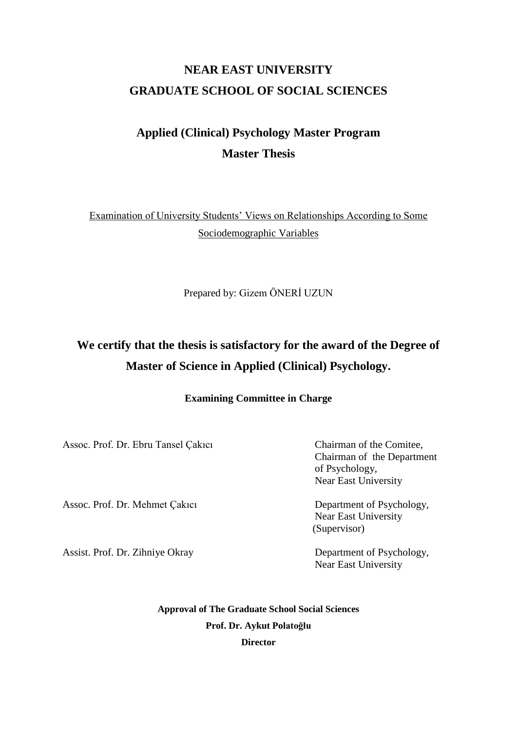## **NEAR EAST UNIVERSITY GRADUATE SCHOOL OF SOCIAL SCIENCES**

## **Applied (Clinical) Psychology Master Program Master Thesis**

Examination of University Students' Views on Relationships According to Some Sociodemographic Variables

Prepared by: Gizem ÖNERİ UZUN

### **We certify that the thesis is satisfactory for the award of the Degree of Master of Science in Applied (Clinical) Psychology.**

#### **Examining Committee in Charge**

Assoc. Prof. Dr. Ebru Tansel Çakıcı Chairman of the Comitee,

Chairman of the Department of Psychology, Near East University

Assoc. Prof. Dr. Mehmet Çakıcı Department of Psychology, Near East University (Supervisor)

Assist. Prof. Dr. Zihniye Okray Department of Psychology, Near East University

> **Approval of The Graduate School Social Sciences Prof. Dr. Aykut Polatoğlu Director**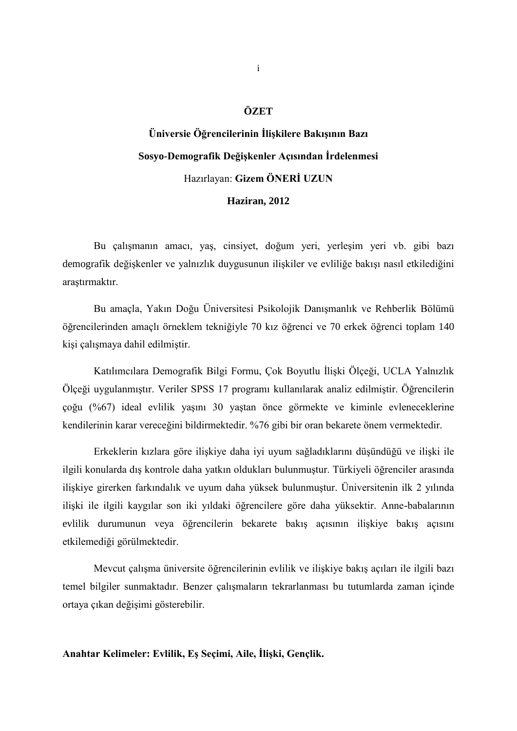### **ÖZET**

# **Üniversie Öğrencilerinin İlişkilere Bakışının Bazı Sosyo-Demografik Değişkenler Açısından İrdelenmesi** Hazırlayan: **Gizem ÖNERİ UZUN Haziran, 2012**

Bu çalışmanın amacı, yaş, cinsiyet, doğum yeri, yerleşim yeri vb. gibi bazı demografik değişkenler ve yalnızlık duygusunun ilişkiler ve evliliğe bakışı nasıl etkilediğini araştırmaktır.

Bu amaçla, Yakın Doğu Üniversitesi Psikolojik Danışmanlık ve Rehberlik Bölümü öğrencilerinden amaçlı örneklem tekniğiyle 70 kız öğrenci ve 70 erkek öğrenci toplam 140 kişi çalışmaya dahil edilmiştir.

Katılımcılara Demografik Bilgi Formu, Çok Boyutlu İlişki Ölçeği, UCLA Yalnızlık Ölçeği uygulanmıştır. Veriler SPSS 17 programı kullanılarak analiz edilmiştir. Öğrencilerin çoğu (%67) ideal evlilik yaşını 30 yaştan önce görmekte ve kiminle evleneceklerine kendilerinin karar vereceğini bildirmektedir. %76 gibi bir oran bekarete önem vermektedir.

Erkeklerin kızlara göre ilişkiye daha iyi uyum sağladıklarını düşündüğü ve ilişki ile ilgili konularda dış kontrole daha yatkın oldukları bulunmuştur. Türkiyeli öğrenciler arasında ilişkiye girerken farkındalık ve uyum daha yüksek bulunmuştur. Üniversitenin ilk 2 yılında ilişki ile ilgili kaygılar son iki yıldaki öğrencilere göre daha yüksektir. Anne-babalarının evlilik durumunun veya öğrencilerin bekarete bakış açısının ilişkiye bakış açısını etkilemediği görülmektedir.

Mevcut çalışma üniversite öğrencilerinin evlilik ve ilişkiye bakış açıları ile ilgili bazı temel bilgiler sunmaktadır. Benzer çalışmaların tekrarlanması bu tutumlarda zaman içinde ortaya çıkan değişimi gösterebilir.

**Anahtar Kelimeler: Evlilik, Eş Seçimi, Aile, İlişki, Gençlik.**

i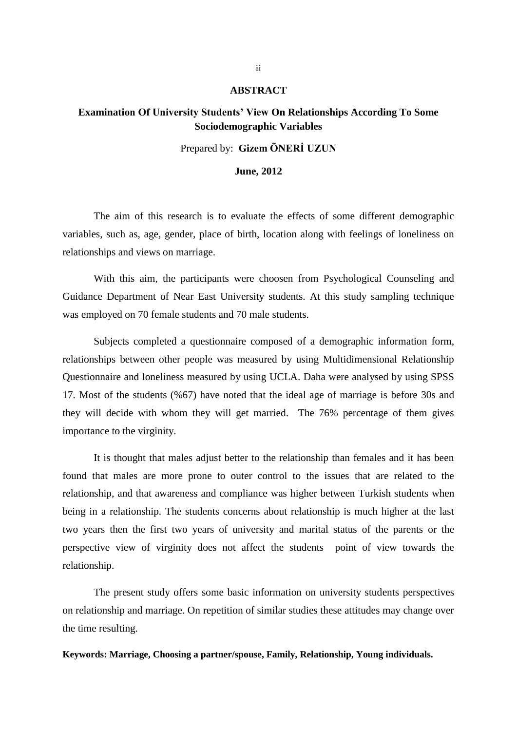#### **ABSTRACT**

### **Examination Of University Students' View On Relationships According To Some Sociodemographic Variables**

### Prepared by: **Gizem ÖNERİ UZUN**

#### **June, 2012**

The aim of this research is to evaluate the effects of some different demographic variables, such as, age, gender, place of birth, location along with feelings of loneliness on relationships and views on marriage.

With this aim, the participants were choosen from Psychological Counseling and Guidance Department of Near East University students. At this study sampling technique was employed on 70 female students and 70 male students.

Subjects completed a questionnaire composed of a demographic information form, relationships between other people was measured by using Multidimensional Relationship Questionnaire and loneliness measured by using UCLA. Daha were analysed by using SPSS 17. Most of the students (%67) have noted that the ideal age of marriage is before 30s and they will decide with whom they will get married. The 76% percentage of them gives importance to the virginity.

It is thought that males adjust better to the relationship than females and it has been found that males are more prone to outer control to the issues that are related to the relationship, and that awareness and compliance was higher between Turkish students when being in a relationship. The students concerns about relationship is much higher at the last two years then the first two years of university and marital status of the parents or the perspective view of virginity does not affect the students point of view towards the relationship.

The present study offers some basic information on university students perspectives on relationship and marriage. On repetition of similar studies these attitudes may change over the time resulting.

**Keywords: Marriage, Choosing a partner/spouse, Family, Relationship, Young individuals.**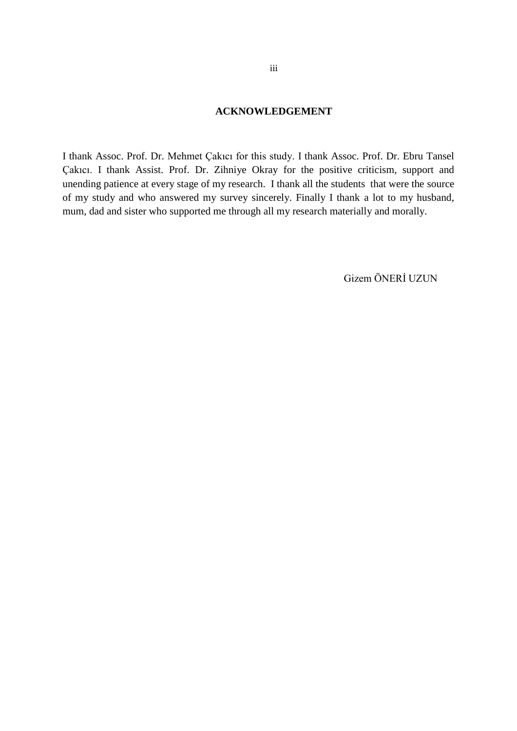### **ACKNOWLEDGEMENT**

I thank Assoc. Prof. Dr. Mehmet Çakıcı for this study. I thank Assoc. Prof. Dr. Ebru Tansel Çakıcı. I thank Assist. Prof. Dr. Zihniye Okray for the positive criticism, support and unending patience at every stage of my research. I thank all the students that were the source of my study and who answered my survey sincerely. Finally I thank a lot to my husband, mum, dad and sister who supported me through all my research materially and morally.

Gizem ÖNERİ UZUN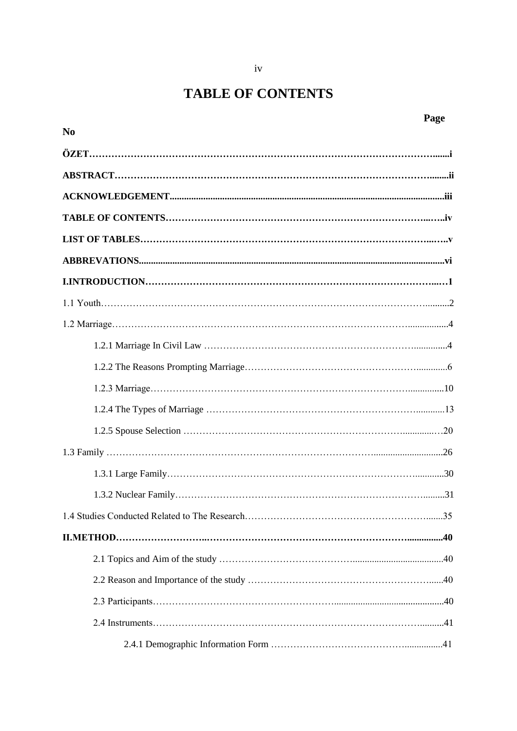## **TABLE OF CONTENTS**

|                | Page |
|----------------|------|
| N <sub>0</sub> |      |
|                |      |
|                |      |
|                |      |
|                |      |
|                |      |
|                |      |
|                |      |
|                |      |
|                |      |
|                |      |
|                |      |
|                |      |
|                |      |
|                |      |
|                |      |
|                |      |
|                |      |
|                |      |
|                |      |
|                |      |
|                |      |
|                |      |
|                |      |
|                |      |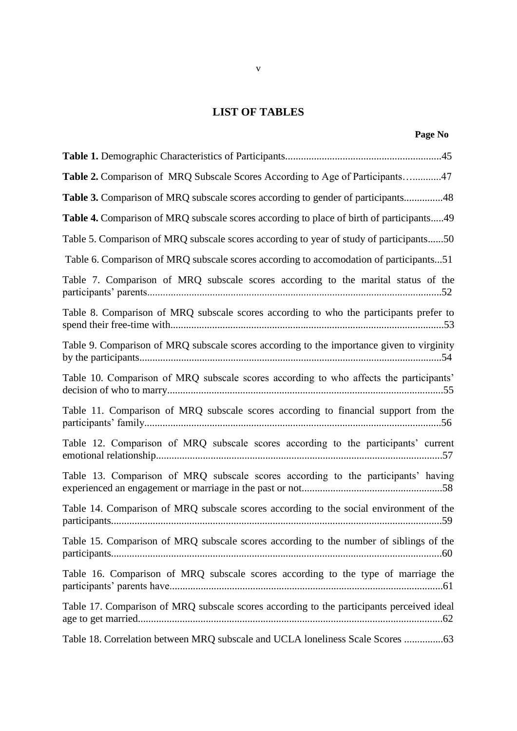### **LIST OF TABLES**

| Table 2. Comparison of MRQ Subscale Scores According to Age of Participants47             |  |
|-------------------------------------------------------------------------------------------|--|
| Table 3. Comparison of MRQ subscale scores according to gender of participants48          |  |
| Table 4. Comparison of MRQ subscale scores according to place of birth of participants49  |  |
| Table 5. Comparison of MRQ subscale scores according to year of study of participants50   |  |
| Table 6. Comparison of MRQ subscale scores according to accomodation of participants51    |  |
| Table 7. Comparison of MRQ subscale scores according to the marital status of the         |  |
| Table 8. Comparison of MRQ subscale scores according to who the participants prefer to    |  |
| Table 9. Comparison of MRQ subscale scores according to the importance given to virginity |  |
| Table 10. Comparison of MRQ subscale scores according to who affects the participants'    |  |
| Table 11. Comparison of MRQ subscale scores according to financial support from the       |  |
| Table 12. Comparison of MRQ subscale scores according to the participants' current        |  |
| Table 13. Comparison of MRQ subscale scores according to the participants' having         |  |
| Table 14. Comparison of MRQ subscale scores according to the social environment of the    |  |
| Table 15. Comparison of MRQ subscale scores according to the number of siblings of the    |  |
| Table 16. Comparison of MRQ subscale scores according to the type of marriage the         |  |
| Table 17. Comparison of MRQ subscale scores according to the participants perceived ideal |  |
| Table 18. Correlation between MRQ subscale and UCLA loneliness Scale Scores               |  |